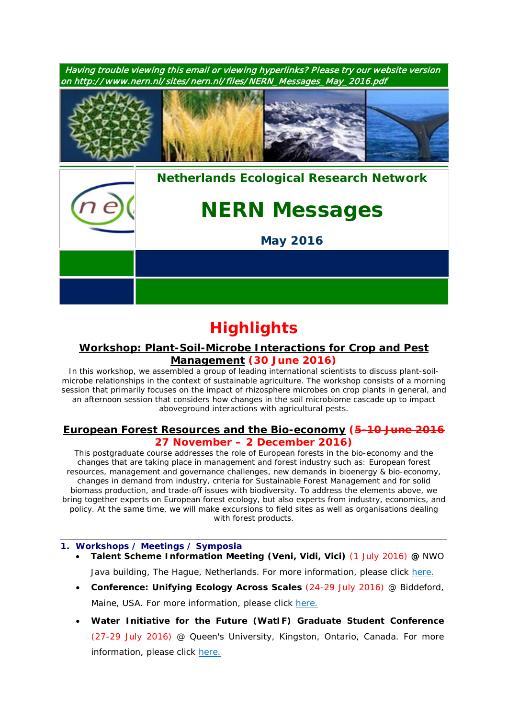

# **Highlights**

# *Workshop: [Plant-Soil-Microbe Interactions for Crop and Pest](https://www.pe-rc.nl/psm-workshop)  [Management](https://www.pe-rc.nl/psm-workshop)* **(30 June 2016)**

In this workshop, we assembled a group of leading international scientists to discuss plant-soilmicrobe relationships in the context of sustainable agriculture. The workshop consists of a morning session that primarily focuses on the impact of rhizosphere microbes on crop plants in general, and an afternoon session that considers how changes in the soil microbiome cascade up to impact aboveground interactions with agricultural pests.

## *European Forest [Resources and the Bio-economy](https://www.pe-rc.nl/forest-resources)* **(5-10 June 2016 27 November – 2 December 2016)**

This postgraduate course addresses the role of European forests in the bio-economy and the changes that are taking place in management and forest industry such as: European forest resources, management and governance challenges, new demands in bioenergy & bio-economy, changes in demand from industry, criteria for Sustainable Forest Management and for solid biomass production, and trade-off issues with biodiversity. To address the elements above, we bring together experts on European forest ecology, but also experts from industry, economics, and policy. At the same time, we will make excursions to field sites as well as organisations dealing with forest products.

## **1. Workshops / Meetings / Symposia**

- **Talent Scheme Information Meeting (Veni, Vidi, Vici)** (1 July 2016) **@** NWO Java building, The Hague, Netherlands. For more information, please click [here.](http://www.nwo.nl/en/research-and-results/programmes/Talent+Scheme/talent+scheme+information+meeting)
- **Conference: Unifying Ecology Across Scales** (24-29 July 2016) @ Biddeford, Maine, USA. For more information, please click [here.](https://www.grc.org/programs.aspx?id=13261)
- **Water Initiative for the Future (WatIF) Graduate Student Conference** (27-29 July 2016) @ Queen's University, Kingston, Ontario, Canada. For more information, please click [here.](http://www.waterinitiativeforthefuture.org/)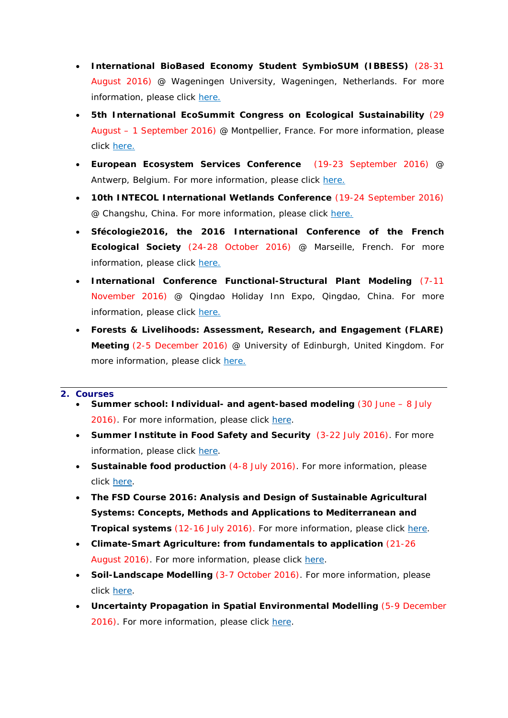- **International BioBased Economy Student SymbioSUM (IBBESS)** (28-31 August 2016) @ Wageningen University, Wageningen, Netherlands. For more information, please click [here.](http://www.wageningenur.nl/en/activity/IBBESS-Conference-2015.htm)
- **5th International EcoSummit Congress on Ecological Sustainability** (29 August – 1 September 2016) @ Montpellier, France. For more information, please click [here.](http://www.ecosummit2016.org/)
- **European Ecosystem Services Conference** (19-23 September 2016) @ Antwerp, Belgium. For more information, please click [here.](http://www.esconference2016.eu/)
- **10th INTECOL International Wetlands Conference** (19-24 September 2016) @ Changshu, China. For more information, please click [here.](http://www.intecol-10iwc.com/EN/Index.aspx)
- **Sfécologie2016, the 2016 International Conference of the French Ecological Society** (24-28 October 2016) @ Marseille, French. For more information, please click [here.](http://sfecologie2016.sciencesconf.org/)
- **International Conference Functional-Structural Plant Modeling** (7-11 November 2016) @ Qingdao Holiday Inn Expo, Qingdao, China. For more information, please click [here.](http://www.fspma2016.net/dct/page/1)
- **Forests & Livelihoods: Assessment, Research, and Engagement (FLARE) Meeting** (2-5 December 2016) @ University of Edinburgh, United Kingdom. For more information, please click [here.](http://www.forestlivelihoods.org/flare-meeting-2016)

#### **2. Courses**

- **Summer school: Individual- and agent-based modeling** (30 June 8 July 2016). For more information, please click [here.](http://www.forst.tu-dresden.de/summerschool)
- **Summer Institute in Food Safety and Security** (3-22 July 2016). For more information, please click [here.](https://www.pe-rc.nl/sites/default/files/SummerMannaA4_2016.pdf)
- **Sustainable food production** (4-8 July 2016). For more information, please click [here.](http://www.utrechtsummerschool.nl/courses/science/future-food-utrecht-sustainable-food-production)
- **The FSD Course 2016: Analysis and Design of Sustainable Agricultural Systems: Concepts, Methods and Applications to Mediterranean and Tropical systems** (12-16 July 2016). For more information, please click [here.](http://www.nern.nl/sites/nern.nl/files/FSDCourse_2016_Flyer_V2.pdf)
- **Climate-Smart Agriculture: from fundamentals to application** (21-26 August 2016). For more information, please click [here.](https://www.pe-rc.nl/Climate-Smart-Agriculture)
- **Soil-Landscape Modelling** (3-7 October 2016). For more information, please click [here.](https://www.pe-rc.nl/soil-landscape-modelling)
- **Uncertainty Propagation in Spatial Environmental Modelling** (5-9 December 2016). For more information, please click [here.](https://www.pe-rc.nl/node/19166)